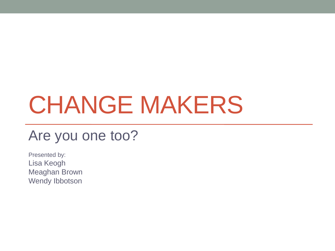## CHANGE MAKERS

#### Are you one too?

Presented by: Lisa Keogh Meaghan Brown Wendy Ibbotson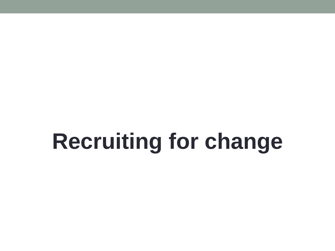## **Recruiting for change**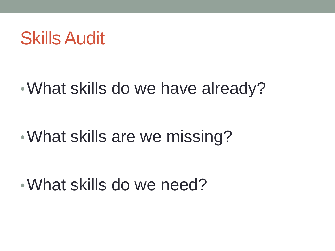## Skills Audit

### •What skills do we have already?

## •What skills are we missing?

•What skills do we need?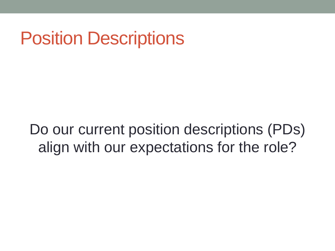## Position Descriptions

#### Do our current position descriptions (PDs) align with our expectations for the role?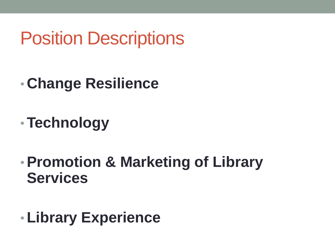## Position Descriptions

- **Change Resilience**
- •**Technology**
- •**Promotion & Marketing of Library Services**
- •**Library Experience**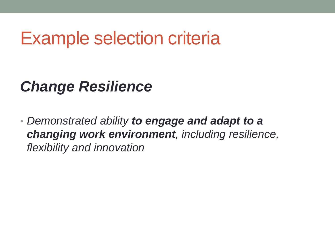#### *Change Resilience*

• *Demonstrated ability to engage and adapt to a changing work environment, including resilience, flexibility and innovation*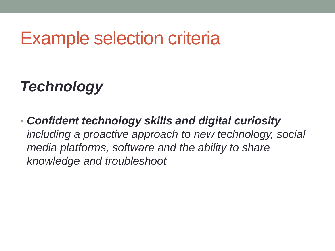### *Technology*

• *Confident technology skills and digital curiosity including a proactive approach to new technology, social media platforms, software and the ability to share knowledge and troubleshoot*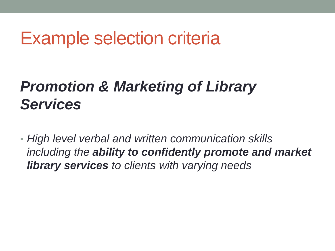#### *Promotion & Marketing of Library Services*

• *High level verbal and written communication skills including the ability to confidently promote and market library services to clients with varying needs*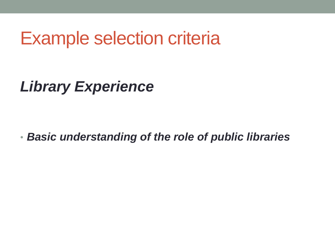*Library Experience*

• *Basic understanding of the role of public libraries*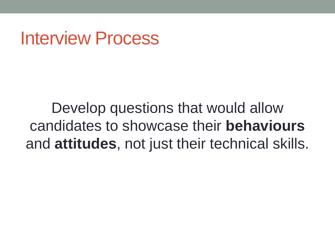## Interview Process

Develop questions that would allow candidates to showcase their **behaviours** and **attitudes**, not just their technical skills.